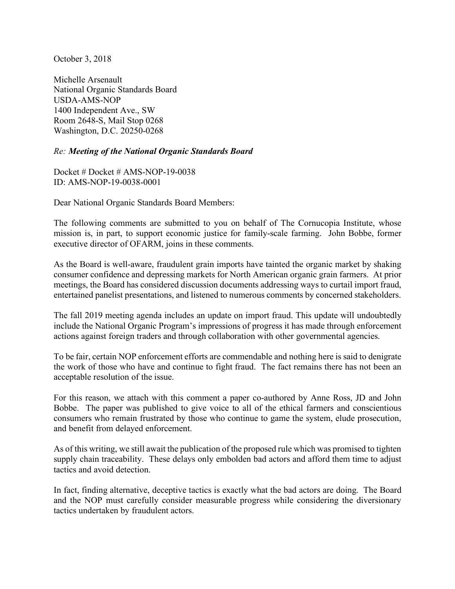October 3, 2018

Michelle Arsenault National Organic Standards Board USDA-AMS-NOP 1400 Independent Ave., SW Room 2648-S, Mail Stop 0268 Washington, D.C. 20250-0268

## *Re: Meeting of the National Organic Standards Board*

Docket # Docket # AMS-NOP-19-0038 ID: AMS-NOP-19-0038-0001

Dear National Organic Standards Board Members:

The following comments are submitted to you on behalf of The Cornucopia Institute, whose mission is, in part, to support economic justice for family-scale farming. John Bobbe, former executive director of OFARM, joins in these comments.

As the Board is well-aware, fraudulent grain imports have tainted the organic market by shaking consumer confidence and depressing markets for North American organic grain farmers. At prior meetings, the Board has considered discussion documents addressing ways to curtail import fraud, entertained panelist presentations, and listened to numerous comments by concerned stakeholders.

The fall 2019 meeting agenda includes an update on import fraud. This update will undoubtedly include the National Organic Program's impressions of progress it has made through enforcement actions against foreign traders and through collaboration with other governmental agencies.

To be fair, certain NOP enforcement efforts are commendable and nothing here is said to denigrate the work of those who have and continue to fight fraud. The fact remains there has not been an acceptable resolution of the issue.

For this reason, we attach with this comment a paper co-authored by Anne Ross, JD and John Bobbe. The paper was published to give voice to all of the ethical farmers and conscientious consumers who remain frustrated by those who continue to game the system, elude prosecution, and benefit from delayed enforcement.

As of this writing, we still await the publication of the proposed rule which was promised to tighten supply chain traceability. These delays only embolden bad actors and afford them time to adjust tactics and avoid detection.

In fact, finding alternative, deceptive tactics is exactly what the bad actors are doing. The Board and the NOP must carefully consider measurable progress while considering the diversionary tactics undertaken by fraudulent actors.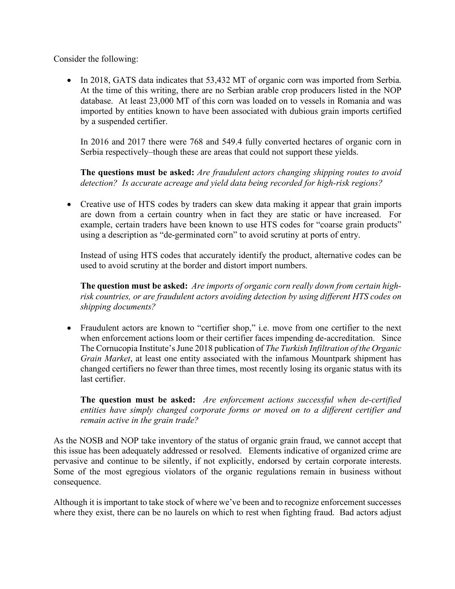Consider the following:

• In 2018, GATS data indicates that 53,432 MT of organic corn was imported from Serbia. At the time of this writing, there are no Serbian arable crop producers listed in the NOP database. At least 23,000 MT of this corn was loaded on to vessels in Romania and was imported by entities known to have been associated with dubious grain imports certified by a suspended certifier.

In 2016 and 2017 there were 768 and 549.4 fully converted hectares of organic corn in Serbia respectively–though these are areas that could not support these yields.

**The questions must be asked:** *Are fraudulent actors changing shipping routes to avoid detection? Is accurate acreage and yield data being recorded for high-risk regions?*

• Creative use of HTS codes by traders can skew data making it appear that grain imports are down from a certain country when in fact they are static or have increased. For example, certain traders have been known to use HTS codes for "coarse grain products" using a description as "de-germinated corn" to avoid scrutiny at ports of entry.

Instead of using HTS codes that accurately identify the product, alternative codes can be used to avoid scrutiny at the border and distort import numbers.

**The question must be asked:** *Are imports of organic corn really down from certain highrisk countries, or are fraudulent actors avoiding detection by using different HTS codes on shipping documents?*

• Fraudulent actors are known to "certifier shop," i.e. move from one certifier to the next when enforcement actions loom or their certifier faces impending de-accreditation. Since The Cornucopia Institute's June 2018 publication of *The Turkish Infiltration of the Organic Grain Market*, at least one entity associated with the infamous Mountpark shipment has changed certifiers no fewer than three times, most recently losing its organic status with its last certifier.

**The question must be asked:** *Are enforcement actions successful when de-certified entities have simply changed corporate forms or moved on to a different certifier and remain active in the grain trade?*

As the NOSB and NOP take inventory of the status of organic grain fraud, we cannot accept that this issue has been adequately addressed or resolved. Elements indicative of organized crime are pervasive and continue to be silently, if not explicitly, endorsed by certain corporate interests. Some of the most egregious violators of the organic regulations remain in business without consequence.

Although it is important to take stock of where we've been and to recognize enforcement successes where they exist, there can be no laurels on which to rest when fighting fraud. Bad actors adjust